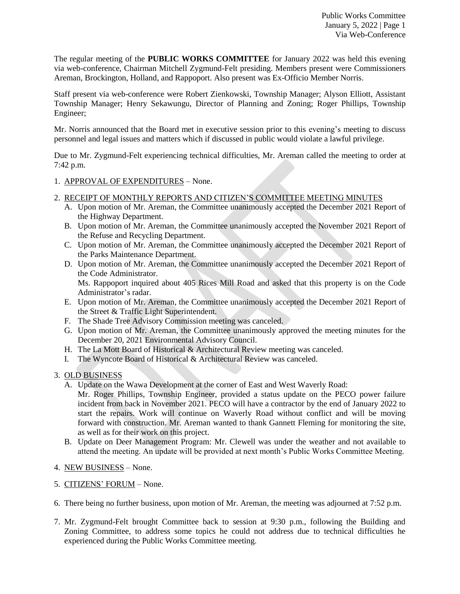The regular meeting of the **PUBLIC WORKS COMMITTEE** for January 2022 was held this evening via web-conference, Chairman Mitchell Zygmund-Felt presiding. Members present were Commissioners Areman, Brockington, Holland, and Rappoport. Also present was Ex-Officio Member Norris.

Staff present via web-conference were Robert Zienkowski, Township Manager; Alyson Elliott, Assistant Township Manager; Henry Sekawungu, Director of Planning and Zoning; Roger Phillips, Township Engineer;

Mr. Norris announced that the Board met in executive session prior to this evening's meeting to discuss personnel and legal issues and matters which if discussed in public would violate a lawful privilege.

Due to Mr. Zygmund-Felt experiencing technical difficulties, Mr. Areman called the meeting to order at 7:42 p.m.

- 1. APPROVAL OF EXPENDITURES None.
- 2. RECEIPT OF MONTHLY REPORTS AND CITIZEN'S COMMITTEE MEETING MINUTES
	- A. Upon motion of Mr. Areman, the Committee unanimously accepted the December 2021 Report of the Highway Department.
	- B. Upon motion of Mr. Areman, the Committee unanimously accepted the November 2021 Report of the Refuse and Recycling Department.
	- C. Upon motion of Mr. Areman, the Committee unanimously accepted the December 2021 Report of the Parks Maintenance Department.
	- D. Upon motion of Mr. Areman, the Committee unanimously accepted the December 2021 Report of the Code Administrator.

Ms. Rappoport inquired about 405 Rices Mill Road and asked that this property is on the Code Administrator's radar.

- E. Upon motion of Mr. Areman, the Committee unanimously accepted the December 2021 Report of the Street & Traffic Light Superintendent.
- F. The Shade Tree Advisory Commission meeting was canceled.
- G. Upon motion of Mr. Areman, the Committee unanimously approved the meeting minutes for the December 20, 2021 Environmental Advisory Council.
- H. The La Mott Board of Historical & Architectural Review meeting was canceled.
- I. The Wyncote Board of Historical & Architectural Review was canceled.

## 3. OLD BUSINESS

- A. Update on the Wawa Development at the corner of East and West Waverly Road:
	- Mr. Roger Phillips, Township Engineer, provided a status update on the PECO power failure incident from back in November 2021. PECO will have a contractor by the end of January 2022 to start the repairs. Work will continue on Waverly Road without conflict and will be moving forward with construction. Mr. Areman wanted to thank Gannett Fleming for monitoring the site, as well as for their work on this project.
- B. Update on Deer Management Program: Mr. Clewell was under the weather and not available to attend the meeting. An update will be provided at next month's Public Works Committee Meeting.
- 4. NEW BUSINESS None.
- 5. CITIZENS' FORUM None.
- 6. There being no further business, upon motion of Mr. Areman, the meeting was adjourned at 7:52 p.m.
- 7. Mr. Zygmund-Felt brought Committee back to session at 9:30 p.m., following the Building and Zoning Committee, to address some topics he could not address due to technical difficulties he experienced during the Public Works Committee meeting.